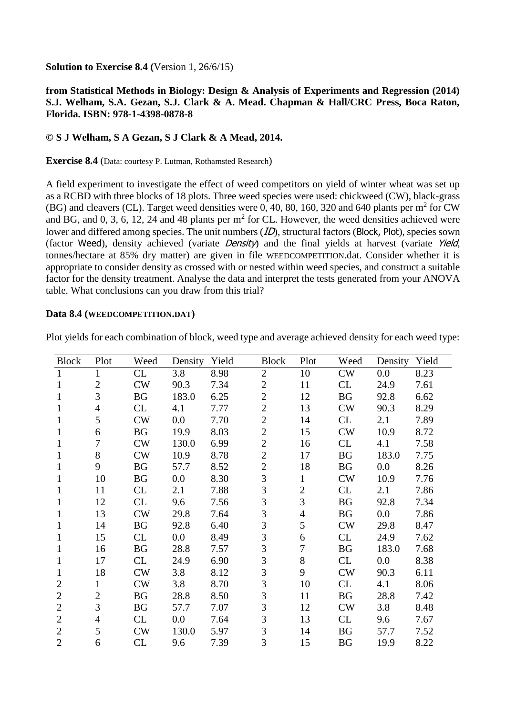**Solution to Exercise 8.4 (**Version 1, 26/6/15)

## **from Statistical Methods in Biology: Design & Analysis of Experiments and Regression (2014) S.J. Welham, S.A. Gezan, S.J. Clark & A. Mead. Chapman & Hall/CRC Press, Boca Raton, Florida. ISBN: 978-1-4398-0878-8**

## **© S J Welham, S A Gezan, S J Clark & A Mead, 2014.**

**Exercise 8.4** (Data: courtesy P. Lutman, Rothamsted Research)

A field experiment to investigate the effect of weed competitors on yield of winter wheat was set up as a RCBD with three blocks of 18 plots. Three weed species were used: chickweed (CW), black-grass (BG) and cleavers (CL). Target weed densities were 0, 40, 80, 160, 320 and 640 plants per  $m^2$  for CW and BG, and 0, 3, 6, 12, 24 and 48 plants per  $m<sup>2</sup>$  for CL. However, the weed densities achieved were lower and differed among species. The unit numbers (*ID*), structural factors (Block, Plot), species sown (factor Weed), density achieved (variate Density) and the final yields at harvest (variate Yield, tonnes/hectare at 85% dry matter) are given in file WEEDCOMPETITION.dat. Consider whether it is appropriate to consider density as crossed with or nested within weed species, and construct a suitable factor for the density treatment. Analyse the data and interpret the tests generated from your ANOVA table. What conclusions can you draw from this trial?

## **Data 8.4 (WEEDCOMPETITION.DAT)**

| <b>Block</b>   | Plot           | Weed      | Density | Yield | <b>Block</b>   | Plot           | Weed      | Density | Yield |
|----------------|----------------|-----------|---------|-------|----------------|----------------|-----------|---------|-------|
| $\mathbf{1}$   | $\mathbf{1}$   | CL        | 3.8     | 8.98  | $\overline{2}$ | 10             | CW        | 0.0     | 8.23  |
| 1              | $\overline{2}$ | CW        | 90.3    | 7.34  | $\overline{2}$ | 11             | CL        | 24.9    | 7.61  |
| 1              | 3              | BG        | 183.0   | 6.25  | $\overline{2}$ | 12             | BG        | 92.8    | 6.62  |
| 1              | 4              | CL        | 4.1     | 7.77  | $\overline{2}$ | 13             | CW        | 90.3    | 8.29  |
| 1              | 5              | CW        | 0.0     | 7.70  | $\overline{2}$ | 14             | CL        | 2.1     | 7.89  |
| 1              | 6              | <b>BG</b> | 19.9    | 8.03  | $\overline{2}$ | 15             | CW        | 10.9    | 8.72  |
| 1              | 7              | CW        | 130.0   | 6.99  | $\overline{2}$ | 16             | CL        | 4.1     | 7.58  |
| 1              | 8              | CW        | 10.9    | 8.78  | $\overline{2}$ | 17             | BG        | 183.0   | 7.75  |
| 1              | 9              | <b>BG</b> | 57.7    | 8.52  | $\overline{2}$ | 18             | BG        | 0.0     | 8.26  |
| 1              | 10             | <b>BG</b> | 0.0     | 8.30  | 3              | 1              | CW        | 10.9    | 7.76  |
| 1              | 11             | CL        | 2.1     | 7.88  | 3              | $\overline{c}$ | CL        | 2.1     | 7.86  |
| 1              | 12             | CL        | 9.6     | 7.56  | 3              | 3              | <b>BG</b> | 92.8    | 7.34  |
| 1              | 13             | CW        | 29.8    | 7.64  | 3              | $\overline{4}$ | <b>BG</b> | 0.0     | 7.86  |
| 1              | 14             | <b>BG</b> | 92.8    | 6.40  | 3              | 5              | CW        | 29.8    | 8.47  |
| 1              | 15             | CL        | 0.0     | 8.49  | 3              | 6              | CL        | 24.9    | 7.62  |
| 1              | 16             | BG        | 28.8    | 7.57  | 3              | 7              | BG        | 183.0   | 7.68  |
| 1              | 17             | CL        | 24.9    | 6.90  | 3              | 8              | CL        | 0.0     | 8.38  |
| 1              | 18             | CW        | 3.8     | 8.12  | 3              | 9              | CW        | 90.3    | 6.11  |
| $\overline{2}$ | 1              | <b>CW</b> | 3.8     | 8.70  | 3              | 10             | CL        | 4.1     | 8.06  |
| $\overline{c}$ | 2              | <b>BG</b> | 28.8    | 8.50  | 3              | 11             | <b>BG</b> | 28.8    | 7.42  |
| $\overline{2}$ | 3              | <b>BG</b> | 57.7    | 7.07  | 3              | 12             | CW        | 3.8     | 8.48  |
| $\overline{2}$ | 4              | CL        | 0.0     | 7.64  | 3              | 13             | CL        | 9.6     | 7.67  |
| $\overline{2}$ | 5              | CW        | 130.0   | 5.97  | 3              | 14             | <b>BG</b> | 57.7    | 7.52  |
| $\overline{2}$ | 6              | <b>CL</b> | 9.6     | 7.39  | 3              | 15             | BG        | 19.9    | 8.22  |

Plot yields for each combination of block, weed type and average achieved density for each weed type: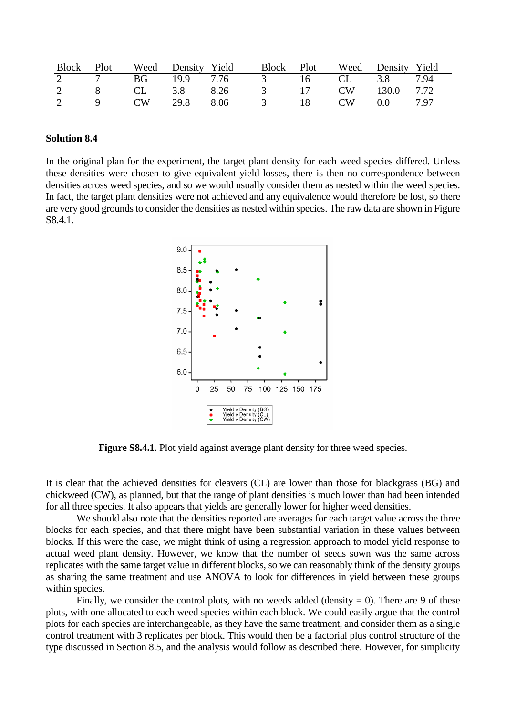|   |                |         |          | Block Plot Weed Density Yield Block |               |    |      | Plot Weed Density Yield |      |
|---|----------------|---------|----------|-------------------------------------|---------------|----|------|-------------------------|------|
|   |                |         |          | 2 7 BG 19.9 7.76 3 16 CL 3.8        |               |    |      |                         | 7.94 |
| 2 | 8 <sup>8</sup> | CL CL   | 3.8 8.26 |                                     | 3 17          |    |      | CW 130.0 7.72           |      |
| 2 | $\overline{q}$ | CW 29.8 |          | 8.06                                | $\mathcal{R}$ | 18 | CW – | 0.0 7.97                |      |

## **Solution 8.4**

In the original plan for the experiment, the target plant density for each weed species differed. Unless these densities were chosen to give equivalent yield losses, there is then no correspondence between densities across weed species, and so we would usually consider them as nested within the weed species. In fact, the target plant densities were not achieved and any equivalence would therefore be lost, so there are very good grounds to consider the densities as nested within species. The raw data are shown in Figure S8.4.1.



**Figure S8.4.1**. Plot yield against average plant density for three weed species.

It is clear that the achieved densities for cleavers (CL) are lower than those for blackgrass (BG) and chickweed (CW), as planned, but that the range of plant densities is much lower than had been intended for all three species. It also appears that yields are generally lower for higher weed densities.

We should also note that the densities reported are averages for each target value across the three blocks for each species, and that there might have been substantial variation in these values between blocks. If this were the case, we might think of using a regression approach to model yield response to actual weed plant density. However, we know that the number of seeds sown was the same across replicates with the same target value in different blocks, so we can reasonably think of the density groups as sharing the same treatment and use ANOVA to look for differences in yield between these groups within species.

Finally, we consider the control plots, with no weeds added (density  $= 0$ ). There are 9 of these plots, with one allocated to each weed species within each block. We could easily argue that the control plots for each species are interchangeable, as they have the same treatment, and consider them as a single control treatment with 3 replicates per block. This would then be a factorial plus control structure of the type discussed in Section 8.5, and the analysis would follow as described there. However, for simplicity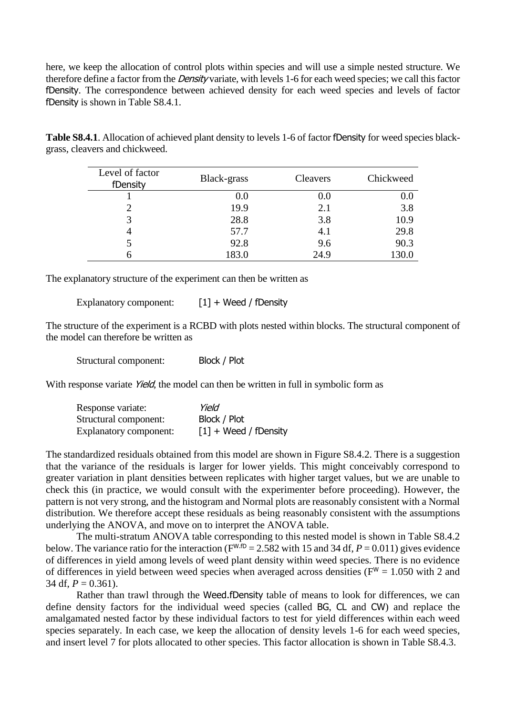here, we keep the allocation of control plots within species and will use a simple nested structure. We therefore define a factor from the *Density* variate, with levels 1-6 for each weed species; we call this factor fDensity. The correspondence between achieved density for each weed species and levels of factor fDensity is shown in Table S8.4.1.

**Table S8.4.1**. Allocation of achieved plant density to levels 1-6 of factor fDensity for weed species blackgrass, cleavers and chickweed.

| Level of factor<br>fDensity | Black-grass | <b>Cleavers</b> | Chickweed |
|-----------------------------|-------------|-----------------|-----------|
|                             | 0.0         | 0.0             | 0.0       |
|                             | 19.9        | 2.1             | 3.8       |
|                             | 28.8        | 3.8             | 10.9      |
|                             | 57.7        | 4.1             | 29.8      |
|                             | 92.8        | 9.6             | 90.3      |
|                             | 183.0       | 24.9            | 130.0     |

The explanatory structure of the experiment can then be written as

Explanatory component: [1] + Weed / fDensity

The structure of the experiment is a RCBD with plots nested within blocks. The structural component of the model can therefore be written as

Structural component: Block / Plot

With response variate *Yield*, the model can then be written in full in symbolic form as

| Response variate:             | Yield                   |
|-------------------------------|-------------------------|
| Structural component:         | Block / Plot            |
| <b>Explanatory component:</b> | $[1]$ + Weed / fDensity |

The standardized residuals obtained from this model are shown in Figure S8.4.2. There is a suggestion that the variance of the residuals is larger for lower yields. This might conceivably correspond to greater variation in plant densities between replicates with higher target values, but we are unable to check this (in practice, we would consult with the experimenter before proceeding). However, the pattern is not very strong, and the histogram and Normal plots are reasonably consistent with a Normal distribution. We therefore accept these residuals as being reasonably consistent with the assumptions underlying the ANOVA, and move on to interpret the ANOVA table.

The multi-stratum ANOVA table corresponding to this nested model is shown in Table S8.4.2 below. The variance ratio for the interaction ( $F^{W.fD} = 2.582$  with 15 and 34 df,  $P = 0.011$ ) gives evidence of differences in yield among levels of weed plant density within weed species. There is no evidence of differences in yield between weed species when averaged across densities ( $F^W = 1.050$  with 2 and 34 df,  $P = 0.361$ ).

Rather than trawl through the Weed.fDensity table of means to look for differences, we can define density factors for the individual weed species (called BG, CL and CW) and replace the amalgamated nested factor by these individual factors to test for yield differences within each weed species separately. In each case, we keep the allocation of density levels 1-6 for each weed species, and insert level 7 for plots allocated to other species. This factor allocation is shown in Table S8.4.3.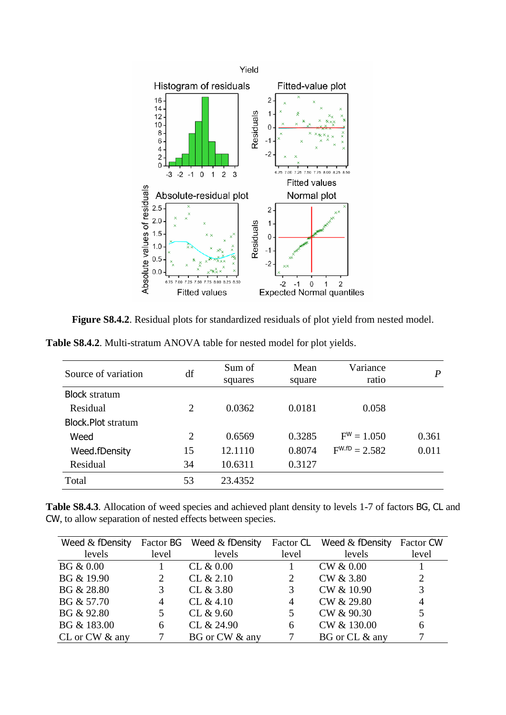

Figure S8.4.2. Residual plots for standardized residuals of plot yield from nested model.

| <b>Table S8.4.2.</b> Multi-stratum ANOVA table for nested model for plot yields. |  |
|----------------------------------------------------------------------------------|--|
|                                                                                  |  |

| Source of variation       | df             | Sum of<br>squares | Mean<br>square | Variance<br>ratio  | P     |
|---------------------------|----------------|-------------------|----------------|--------------------|-------|
| <b>Block stratum</b>      |                |                   |                |                    |       |
| Residual                  | $\overline{2}$ | 0.0362            | 0.0181         | 0.058              |       |
| <b>Block.Plot stratum</b> |                |                   |                |                    |       |
| Weed                      | $\overline{2}$ | 0.6569            | 0.3285         | $F^W = 1.050$      | 0.361 |
| Weed.fDensity             | 15             | 12.1110           | 0.8074         | $F^{W.fD} = 2.582$ | 0.011 |
| Residual                  | 34             | 10.6311           | 0.3127         |                    |       |
| Total                     | 53             | 23.4352           |                |                    |       |

**Table S8.4.3**. Allocation of weed species and achieved plant density to levels 1-7 of factors BG, CL and CW, to allow separation of nested effects between species.

| Weed $&$ fDensity |                       | Factor BG Weed & fDensity | Factor CL      | Weed $&$ fDensity | Factor CW |
|-------------------|-----------------------|---------------------------|----------------|-------------------|-----------|
| levels            | level                 | levels                    | level          | levels            | level     |
| BG & 0.00         |                       | CL & 0.00                 |                | CW & 0.00         |           |
| BG & 19.90        | $\mathbf{2}^{\prime}$ | CL & 2.10                 | 2              | CW & 3.80         | 2         |
| BG & 28.80        | 3                     | CL & 3.80                 | 3              | CW & 10.90        | 3         |
| BG & 57.70        | 4                     | CL $&4.10$                | $\overline{4}$ | CW & 29.80        | 4         |
| BG & 92.80        |                       | CL & 9.60                 |                | CW & 90.30        |           |
| BG & 183.00       | 6                     | CL & 24.90                | 6              | CW & 130.00       | 6         |
| CL or CW & any    |                       | BG or CW & any            |                | BG or CL & any    |           |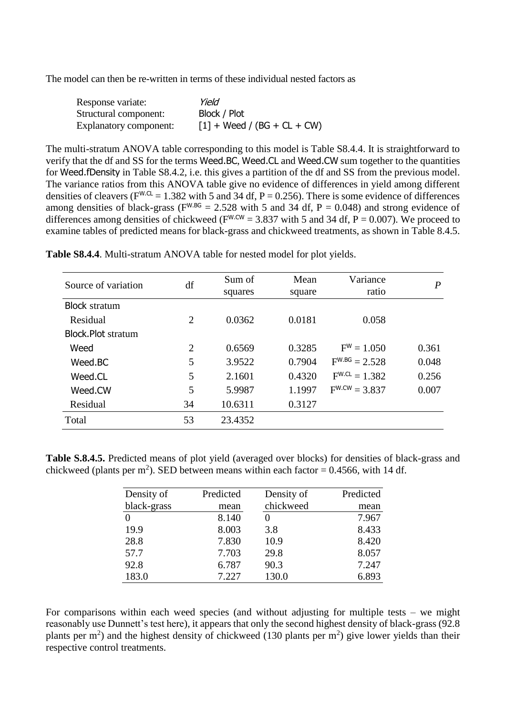The model can then be re-written in terms of these individual nested factors as

| Response variate:      | Yield                         |
|------------------------|-------------------------------|
| Structural component:  | Block / Plot                  |
| Explanatory component: | $[1] + Weed / (BG + CL + CW)$ |

The multi-stratum ANOVA table corresponding to this model is Table S8.4.4. It is straightforward to verify that the df and SS for the terms Weed.BC, Weed.CL and Weed.CW sum together to the quantities for Weed.fDensity in Table S8.4.2, i.e. this gives a partition of the df and SS from the previous model. The variance ratios from this ANOVA table give no evidence of differences in yield among different densities of cleavers ( $F^{W.CL}$  = 1.382 with 5 and 34 df, P = 0.256). There is some evidence of differences among densities of black-grass ( $F^{W.BG} = 2.528$  with 5 and 34 df,  $P = 0.048$ ) and strong evidence of differences among densities of chickweed ( $F^{W.CW}$  = 3.837 with 5 and 34 df, P = 0.007). We proceed to examine tables of predicted means for black-grass and chickweed treatments, as shown in Table 8.4.5.

| Source of variation       | df             | Sum of  | Mean   | Variance           | $\overline{P}$ |
|---------------------------|----------------|---------|--------|--------------------|----------------|
|                           |                | squares | square | ratio              |                |
| <b>Block</b> stratum      |                |         |        |                    |                |
| Residual                  | $\overline{2}$ | 0.0362  | 0.0181 | 0.058              |                |
| <b>Block.Plot stratum</b> |                |         |        |                    |                |
| Weed                      | $\overline{2}$ | 0.6569  | 0.3285 | $F^{W} = 1.050$    | 0.361          |
| Weed.BC                   | 5              | 3.9522  | 0.7904 | $F^{W.BG} = 2.528$ | 0.048          |
| Weed.CL                   | 5              | 2.1601  | 0.4320 | $F^{W.CL} = 1.382$ | 0.256          |
| Weed.CW                   | 5              | 5.9987  | 1.1997 | $F^{W.CW} = 3.837$ | 0.007          |
| Residual                  | 34             | 10.6311 | 0.3127 |                    |                |
| Total                     | 53             | 23.4352 |        |                    |                |

**Table S8.4.4**. Multi-stratum ANOVA table for nested model for plot yields.

**Table S.8.4.5.** Predicted means of plot yield (averaged over blocks) for densities of black-grass and chickweed (plants per m<sup>2</sup>). SED between means within each factor = 0.4566, with 14 df.

| Density of  | Predicted | Density of | Predicted |
|-------------|-----------|------------|-----------|
| black-grass | mean      | chickweed  | mean      |
|             | 8.140     |            | 7.967     |
| 19.9        | 8.003     | 3.8        | 8.433     |
| 28.8        | 7.830     | 10.9       | 8.420     |
| 57.7        | 7.703     | 29.8       | 8.057     |
| 92.8        | 6.787     | 90.3       | 7.247     |
| 183.0       | 7.227     | 130.0      | 6.893     |

For comparisons within each weed species (and without adjusting for multiple tests – we might reasonably use Dunnett's test here), it appears that only the second highest density of black-grass (92.8 plants per  $m<sup>2</sup>$ ) and the highest density of chickweed (130 plants per  $m<sup>2</sup>$ ) give lower yields than their respective control treatments.